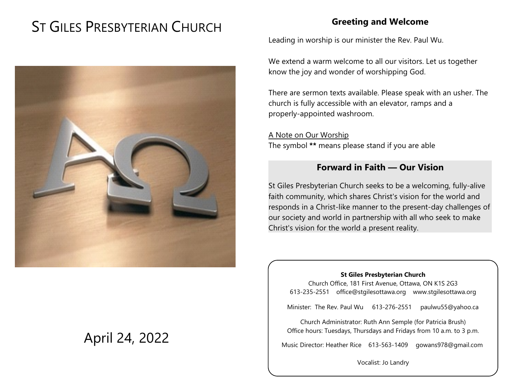# ST GILES PRESBYTERIAN CHURCH



# April 24, 2022

# **Greeting and Welcome**

Leading in worship is our minister the Rev. Paul Wu.

We extend a warm welcome to all our visitors. Let us together know the joy and wonder of worshipping God.

There are sermon texts available. Please speak with an usher. The church is fully accessible with an elevator, ramps and a properly-appointed washroom.

A Note on Our Worship The symbol **\*\*** means please stand if you are able

# **Forward in Faith — Our Vision**

St Giles Presbyterian Church seeks to be a welcoming, fully-alive faith community, which shares Christ's vision for the world and responds in a Christ-like manner to the present-day challenges of our society and world in partnership with all who seek to make Christ's vision for the world a present reality.

#### **St Giles Presbyterian Church**

Church Office, 181 First Avenue, Ottawa, ON K1S 2G3 613-235-2551 office@stgilesottawa.org www.stgilesottawa.org

Minister: The Rev. Paul Wu 613-276-2551 paulwu55@yahoo.ca

Church Administrator: Ruth Ann Semple (for Patricia Brush) Office hours: Tuesdays, Thursdays and Fridays from 10 a.m. to 3 p.m.

Music Director: Heather Rice 613-563-1409 gowans978@gmail.com

Vocalist: Jo Landry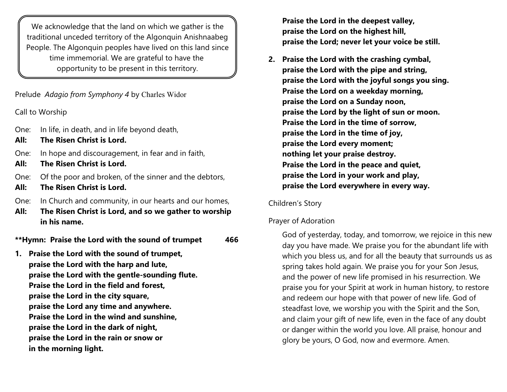We acknowledge that the land on which we gather is the traditional unceded territory of the Algonquin Anishnaabeg People. The Algonquin peoples have lived on this land since time immemorial. We are grateful to have the opportunity to be present in this territory.

Prelude *Adagio from Symphony 4* by Charles Widor

Call to Worship

- One: In life, in death, and in life beyond death,
- **All: The Risen Christ is Lord.**
- One: In hope and discouragement, in fear and in faith,
- **All: The Risen Christ is Lord.**
- One: Of the poor and broken, of the sinner and the debtors,
- **All: The Risen Christ is Lord.**
- One: In Church and community, in our hearts and our homes,
- **All: The Risen Christ is Lord, and so we gather to worship in his name.**

**\*\*Hymn: Praise the Lord with the sound of trumpet 466**

**1. Praise the Lord with the sound of trumpet, praise the Lord with the harp and lute, praise the Lord with the gentle-sounding flute. Praise the Lord in the field and forest, praise the Lord in the city square, praise the Lord any time and anywhere. Praise the Lord in the wind and sunshine, praise the Lord in the dark of night, praise the Lord in the rain or snow or in the morning light.**

**Praise the Lord in the deepest valley, praise the Lord on the highest hill, praise the Lord; never let your voice be still.**

**2. Praise the Lord with the crashing cymbal, praise the Lord with the pipe and string, praise the Lord with the joyful songs you sing. Praise the Lord on a weekday morning, praise the Lord on a Sunday noon, praise the Lord by the light of sun or moon. Praise the Lord in the time of sorrow, praise the Lord in the time of joy, praise the Lord every moment; nothing let your praise destroy. Praise the Lord in the peace and quiet, praise the Lord in your work and play, praise the Lord everywhere in every way.**

#### Children's Story

#### Prayer of Adoration

God of yesterday, today, and tomorrow, we rejoice in this new day you have made. We praise you for the abundant life with which you bless us, and for all the beauty that surrounds us as spring takes hold again. We praise you for your Son Jesus, and the power of new life promised in his resurrection. We praise you for your Spirit at work in human history, to restore and redeem our hope with that power of new life. God of steadfast love, we worship you with the Spirit and the Son, and claim your gift of new life, even in the face of any doubt or danger within the world you love. All praise, honour and glory be yours, O God, now and evermore. Amen.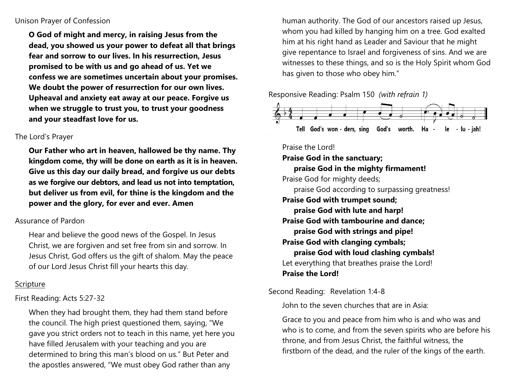#### Unison Prayer of Confession

**O God of might and mercy, in raising Jesus from the dead, you showed us your power to defeat all that brings fear and sorrow to our lives. In his resurrection, Jesus promised to be with us and go ahead of us. Yet we confess we are sometimes uncertain about your promises. We doubt the power of resurrection for our own lives. Upheaval and anxiety eat away at our peace. Forgive us when we struggle to trust you, to trust your goodness and your steadfast love for us.** 

#### The Lord's Prayer

**Our Father who art in heaven, hallowed be thy name. Thy kingdom come, thy will be done on earth as it is in heaven. Give us this day our daily bread, and forgive us our debts as we forgive our debtors, and lead us not into temptation, but deliver us from evil, for thine is the kingdom and the power and the glory, for ever and ever. Amen**

#### Assurance of Pardon

Hear and believe the good news of the Gospel. In Jesus Christ, we are forgiven and set free from sin and sorrow. In Jesus Christ, God offers us the gift of shalom. May the peace of our Lord Jesus Christ fill your hearts this day.

#### Scripture

#### First Reading: Acts 5:27-32

When they had brought them, they had them stand before the council. The high priest questioned them, saying, "We gave you strict orders not to teach in this name, yet here you have filled Jerusalem with your teaching and you are determined to bring this man's blood on us." But Peter and the apostles answered, "We must obey God rather than any

human authority. The God of our ancestors raised up Jesus, whom you had killed by hanging him on a tree. God exalted him at his right hand as Leader and Saviour that he might give repentance to Israel and forgiveness of sins. And we are witnesses to these things, and so is the Holy Spirit whom God has given to those who obey him."

#### Responsive Reading: Psalm 150 *(with refrain 1)*



#### Praise the Lord!

**Praise God in the sanctuary;** 

**praise God in the mighty firmament!**  Praise God for mighty deeds; praise God according to surpassing greatness! **Praise God with trumpet sound;** 

**praise God with lute and harp! Praise God with tambourine and dance; praise God with strings and pipe! Praise God with clanging cymbals; praise God with loud clashing cymbals!** Let everything that breathes praise the Lord!

#### **Praise the Lord!**

Second Reading: Revelation 1:4-8

John to the seven churches that are in Asia:

Grace to you and peace from him who is and who was and who is to come, and from the seven spirits who are before his throne, and from Jesus Christ, the faithful witness, the firstborn of the dead, and the ruler of the kings of the earth.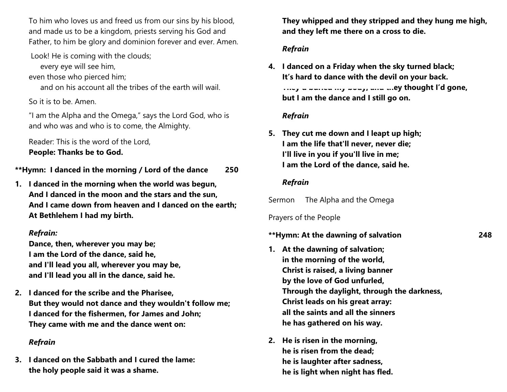To him who loves us and freed us from our sins by his blood, and made us to be a kingdom, priests serving his God and Father, to him be glory and dominion forever and ever. Amen.

Look! He is coming with the clouds;

every eye will see him,

even those who pierced him;

and on his account all the tribes of the earth will wail.

So it is to be. Amen.

"I am the Alpha and the Omega," says the Lord God, who is and who was and who is to come, the Almighty.

Reader: This is the word of the Lord, **People: Thanks be to God.**

**\*\*Hymn: I danced in the morning / Lord of the dance 250**

**1. I danced in the morning when the world was begun, And I danced in the moon and the stars and the sun, And I came down from heaven and I danced on the earth; At Bethlehem I had my birth.**

#### *Refrain:*

**Dance, then, wherever you may be; I am the Lord of the dance, said he, and I'll lead you all, wherever you may be, and I'll lead you all in the dance, said he.**

**2. I danced for the scribe and the Pharisee, But they would not dance and they wouldn't follow me; I danced for the fishermen, for James and John; They came with me and the dance went on:**

#### *Refrain*

**3. I danced on the Sabbath and I cured the lame: the holy people said it was a shame.**

**They whipped and they stripped and they hung me high, and they left me there on a cross to die.**

#### *Refrain*

**4. I danced on a Friday when the sky turned black; It's hard to dance with the devil on your back. They'd buried my body, and they thought I'd gone, but I am the dance and I still go on.**

### *Refrain*

**5. They cut me down and I leapt up high; I am the life that'll never, never die; I'll live in you if you'll live in me; I am the Lord of the dance, said he.**

#### *Refrain*

Sermon The Alpha and the Omega

Prayers of the People

#### **\*\*Hymn: At the dawning of salvation 248**

- **1. At the dawning of salvation; in the morning of the world, Christ is raised, a living banner by the love of God unfurled, Through the daylight, through the darkness, Christ leads on his great array: all the saints and all the sinners he has gathered on his way.**
- **2. He is risen in the morning, he is risen from the dead; he is laughter after sadness, he is light when night has fled.**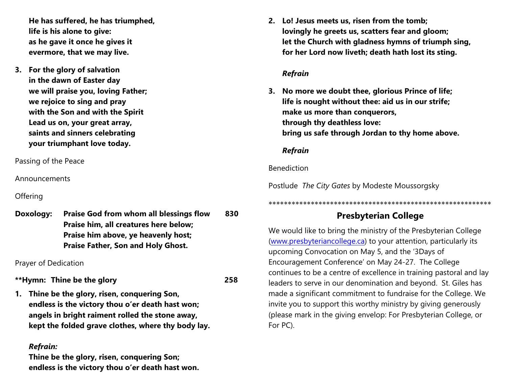**He has suffered, he has triumphed, life is his alone to give: as he gave it once he gives it evermore, that we may live.**

**3. For the glory of salvation in the dawn of Easter day we will praise you, loving Father; we rejoice to sing and pray with the Son and with the Spirit Lead us on, your great array, saints and sinners celebrating your triumphant love today.**

Passing of the Peace

Announcements

**Offering** 

**Doxology: Praise God from whom all blessings flow 830 Praise him, all creatures here below; Praise him above, ye heavenly host; Praise Father, Son and Holy Ghost.**

Prayer of Dedication

# **\*\*Hymn: Thine be the glory 258**

**1. Thine be the glory, risen, conquering Son, endless is the victory thou o'er death hast won; angels in bright raiment rolled the stone away, kept the folded grave clothes, where thy body lay.**

#### *Refrain:*

**Thine be the glory, risen, conquering Son; endless is the victory thou o'er death hast won.** **2. Lo! Jesus meets us, risen from the tomb; lovingly he greets us, scatters fear and gloom; let the Church with gladness hymns of triumph sing, for her Lord now liveth; death hath lost its sting.**

#### *Refrain*

**3. No more we doubt thee, glorious Prince of life; life is nought without thee: aid us in our strife; make us more than conquerors, through thy deathless love: bring us safe through Jordan to thy home above.**

#### *Refrain*

#### Benediction

Postlude *The City Gates* by Modeste Moussorgsky

# **Presbyterian College**

\*\*\*\*\*\*\*\*\*\*\*\*\*\*\*\*\*\*\*\*\*\*\*\*\*\*\*\*\*\*\*\*\*\*\*\*\*\*\*\*\*\*\*\*\*\*\*\*\*\*\*\*\*\*\*\*\*\*

We would like to bring the ministry of the Presbyterian College [\(www.presbyteriancollege.ca](http://www.presbyteriancollege.ca)) to your attention, particularly its upcoming Convocation on May 5, and the '3Days of Encouragement Conference' on May 24-27. The College continues to be a centre of excellence in training pastoral and lay leaders to serve in our denomination and beyond. St. Giles has made a significant commitment to fundraise for the College. We invite you to support this worthy ministry by giving generously (please mark in the giving envelop: For Presbyterian College, or For PC).